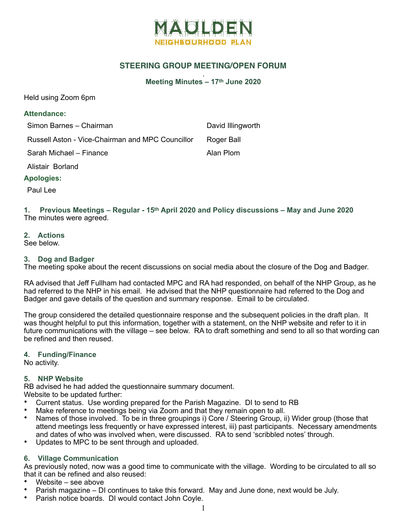

### **STEERING GROUP MEETING/OPEN FORUM**

#### , **Meeting Minutes – 17th June 2020**

Held using Zoom 6pm

### **Attendance:**

| Simon Barnes - Chairman                          | David Illingworth |
|--------------------------------------------------|-------------------|
| Russell Aston - Vice-Chairman and MPC Councillor | Roger Ball        |
| Sarah Michael - Finance                          | Alan Plom         |

Alistair Borland

### **Apologies:**

Paul Lee

**1. Previous Meetings – Regular - 15th April 2020 and Policy discussions – May and June 2020**  The minutes were agreed.

### **2. Actions**

See below.

### **3. Dog and Badger**

The meeting spoke about the recent discussions on social media about the closure of the Dog and Badger.

RA advised that Jeff Fullham had contacted MPC and RA had responded, on behalf of the NHP Group, as he had referred to the NHP in his email. He advised that the NHP questionnaire had referred to the Dog and Badger and gave details of the question and summary response. Email to be circulated.

The group considered the detailed questionnaire response and the subsequent policies in the draft plan. It was thought helpful to put this information, together with a statement, on the NHP website and refer to it in future communications with the village – see below. RA to draft something and send to all so that wording can be refined and then reused.

### **4. Funding/Finance**

No activity.

### **5. NHP Website**

RB advised he had added the questionnaire summary document. Website to be updated further:

- Current status. Use wording prepared for the Parish Magazine. DI to send to RB
- Make reference to meetings being via Zoom and that they remain open to all.
- Names of those involved. To be in three groupings i) Core / Steering Group, ii) Wider group (those that attend meetings less frequently or have expressed interest, iii) past participants. Necessary amendments and dates of who was involved when, were discussed. RA to send 'scribbled notes' through.
- Updates to MPC to be sent through and uploaded.

### **6. Village Communication**

As previously noted, now was a good time to communicate with the village. Wording to be circulated to all so that it can be refined and also reused:

- Website see above
- Parish magazine DI continues to take this forward. May and June done, next would be July.
- Parish notice boards. DI would contact John Coyle.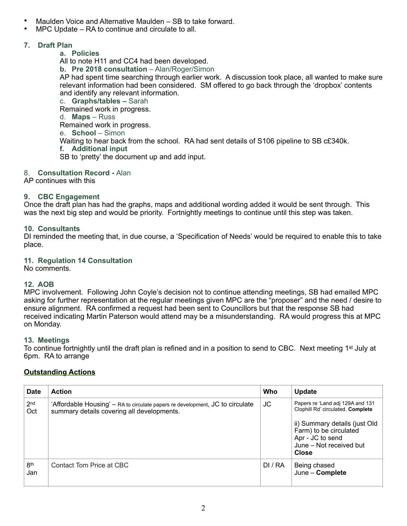- Maulden Voice and Alternative Maulden SB to take forward.
- MPC Update RA to continue and circulate to all.

## **7. Draft Plan**

## **a. Policies**

All to note H11 and CC4 had been developed.

**b. Pre 2018 consultation** – Alan/Roger/Simon

AP had spent time searching through earlier work. A discussion took place, all wanted to make sure relevant information had been considered. SM offered to go back through the 'dropbox' contents and identify any relevant information.

c. **Graphs/tables –** Sarah Remained work in progress. d. **Maps** – Russ Remained work in progress. e. **School** – Simon Waiting to hear back from the school. RA had sent details of S106 pipeline to SB c£340k. **f. Additional input**  SB to 'pretty' the document up and add input.

## 8. **Consultation Record -** Alan

AP continues with this

## **9. CBC Engagement**

Once the draft plan has had the graphs, maps and additional wording added it would be sent through. This was the next big step and would be priority. Fortnightly meetings to continue until this step was taken.

## **10. Consultants**

DI reminded the meeting that, in due course, a 'Specification of Needs' would be required to enable this to take place.

## **11. Regulation 14 Consultation**

No comments.

## **12. AOB**

MPC involvement. Following John Coyle's decision not to continue attending meetings, SB had emailed MPC asking for further representation at the regular meetings given MPC are the "proposer" and the need / desire to ensure alignment. RA confirmed a request had been sent to Councillors but that the response SB had received indicating Martin Paterson would attend may be a misunderstanding. RA would progress this at MPC on Monday.

## **13. Meetings**

To continue fortnightly until the draft plan is refined and in a position to send to CBC. Next meeting 1<sup>st</sup> July at 6pm. RA to arrange

# **Outstanding Actions**

| Date                   | <b>Action</b>                                                                                                               | Who     | Update                                                                                                          |
|------------------------|-----------------------------------------------------------------------------------------------------------------------------|---------|-----------------------------------------------------------------------------------------------------------------|
| 2 <sub>nd</sub><br>Oct | 'Affordable Housing' – RA to circulate papers re development, JC to circulate<br>summary details covering all developments. | JC      | Papers re 'Land adj 129A and 131<br>Clophill Rd' circulated. Complete                                           |
|                        |                                                                                                                             |         | ii) Summary details (just Old<br>Farm) to be circulated<br>Apr - JC to send<br>June - Not received but<br>Close |
| 8 <sup>th</sup><br>Jan | Contact Tom Price at CBC                                                                                                    | DI / RA | Being chased<br>June - Complete                                                                                 |